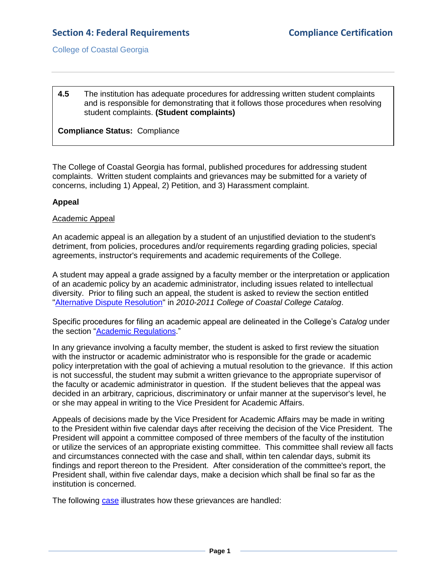# **Section 4: Federal Requirements Compliance Certification**

College of Coastal Georgia

#### **4.5** The institution has adequate procedures for addressing written student complaints and is responsible for demonstrating that it follows those procedures when resolving student complaints. **(Student complaints)**

**Compliance Status:** Compliance

The College of Coastal Georgia has formal, published procedures for addressing student complaints. Written student complaints and grievances may be submitted for a variety of concerns, including 1) Appeal, 2) Petition, and 3) Harassment complaint.

#### **Appeal**

#### Academic Appeal

An academic appeal is an allegation by a student of an unjustified deviation to the student's detriment, from policies, procedures and/or requirements regarding grading policies, special agreements, instructor's requirements and academic requirements of the College.

A student may appeal a grade assigned by a faculty member or the interpretation or application of an academic policy by an academic administrator, including issues related to intellectual diversity. Prior to filing such an appeal, the student is asked to review the section entitled ["Alternative Dispute Resolution"](CCGAcatalog.pdf#page=46) in *2010-2011 College of Coastal College Catalog*.

Specific procedures for filing an academic appeal are delineated in the College's *Catalog* under the section ["Academic Regulations.](CCGAcatalog.pdf#page=46)"

In any grievance involving a faculty member, the student is asked to first review the situation with the instructor or academic administrator who is responsible for the grade or academic policy interpretation with the goal of achieving a mutual resolution to the grievance. If this action is not successful, the student may submit a written grievance to the appropriate supervisor of the faculty or academic administrator in question. If the student believes that the appeal was decided in an arbitrary, capricious, discriminatory or unfair manner at the supervisor's level, he or she may appeal in writing to the Vice President for Academic Affairs.

Appeals of decisions made by the Vice President for Academic Affairs may be made in writing to the President within five calendar days after receiving the decision of the Vice President. The President will appoint a committee composed of three members of the faculty of the institution or utilize the services of an appropriate existing committee. This committee shall review all facts and circumstances connected with the case and shall, within ten calendar days, submit its findings and report thereon to the President. After consideration of the committee's report, the President shall, within five calendar days, make a decision which shall be final so far as the institution is concerned.

The following [case](4.5.aStudentAcademicAppeal092010.pdf#page=1) illustrates how these grievances are handled: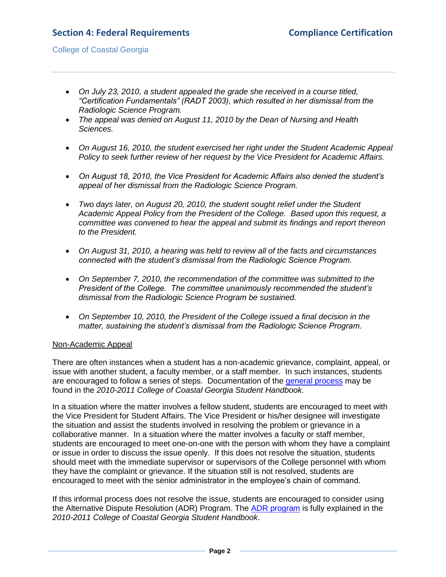## College of Coastal Georgia

- *On July 23, 2010, a student appealed the grade she received in a course titled, "Certification Fundamentals" (RADT 2003), which resulted in her dismissal from the Radiologic Science Program.*
- *The appeal was denied on August 11, 2010 by the Dean of Nursing and Health Sciences.*
- *On August 16, 2010, the student exercised her right under the Student Academic Appeal Policy to seek further review of her request by the Vice President for Academic Affairs.*
- *On August 18, 2010, the Vice President for Academic Affairs also denied the student's appeal of her dismissal from the Radiologic Science Program.*
- *Two days later, on August 20, 2010, the student sought relief under the Student Academic Appeal Policy from the President of the College. Based upon this request, a committee was convened to hear the appeal and submit its findings and report thereon to the President.*
- *On August 31, 2010, a hearing was held to review all of the facts and circumstances connected with the student's dismissal from the Radiologic Science Program.*
- *On September 7, 2010, the recommendation of the committee was submitted to the President of the College. The committee unanimously recommended the student's dismissal from the Radiologic Science Program be sustained.*
- *On September 10, 2010, the President of the College issued a final decision in the matter, sustaining the student's dismissal from the Radiologic Science Program.*

#### Non-Academic Appeal

There are often instances when a student has a non-academic grievance, complaint, appeal, or issue with another student, a faculty member, or a staff member. In such instances, students are encouraged to follow a series of steps. Documentation of the [general process](StudentHandbook.pdf#page=16) may be found in the *2010-2011 College of Coastal Georgia Student Handbook.*

In a situation where the matter involves a fellow student, students are encouraged to meet with the Vice President for Student Affairs. The Vice President or his/her designee will investigate the situation and assist the students involved in resolving the problem or grievance in a collaborative manner. In a situation where the matter involves a faculty or staff member, students are encouraged to meet one-on-one with the person with whom they have a complaint or issue in order to discuss the issue openly. If this does not resolve the situation, students should meet with the immediate supervisor or supervisors of the College personnel with whom they have the complaint or grievance. If the situation still is not resolved, students are encouraged to meet with the senior administrator in the employee's chain of command.

If this informal process does not resolve the issue, students are encouraged to consider using the Alternative Dispute Resolution (ADR) Program. The **ADR** program is fully explained in the *2010-2011 College of Coastal Georgia Student Handbook*.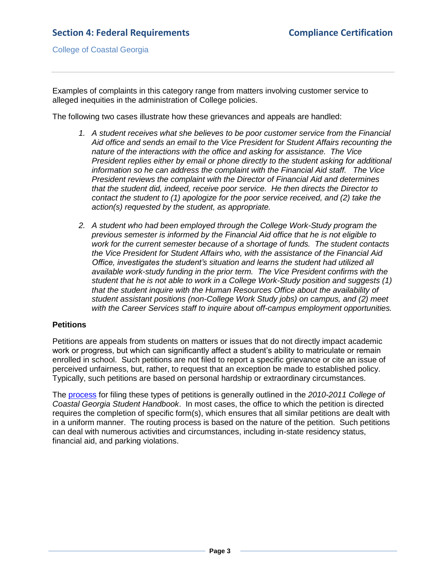Examples of complaints in this category range from matters involving customer service to alleged inequities in the administration of College policies.

The following two cases illustrate how these grievances and appeals are handled:

- *1. A student receives what she believes to be poor customer service from the Financial Aid office and sends an email to the Vice President for Student Affairs recounting the nature of the interactions with the office and asking for assistance. The Vice President replies either by email or phone directly to the student asking for additional information so he can address the complaint with the Financial Aid staff. The Vice President reviews the complaint with the Director of Financial Aid and determines that the student did, indeed, receive poor service. He then directs the Director to contact the student to (1) apologize for the poor service received, and (2) take the action(s) requested by the student, as appropriate.*
- *2. A student who had been employed through the College Work-Study program the previous semester is informed by the Financial Aid office that he is not eligible to work for the current semester because of a shortage of funds. The student contacts the Vice President for Student Affairs who, with the assistance of the Financial Aid Office, investigates the student's situation and learns the student had utilized all available work-study funding in the prior term. The Vice President confirms with the student that he is not able to work in a College Work-Study position and suggests (1) that the student inquire with the Human Resources Office about the availability of student assistant positions (non-College Work Study jobs) on campus, and (2) meet with the Career Services staff to inquire about off-campus employment opportunities.*

## **Petitions**

Petitions are appeals from students on matters or issues that do not directly impact academic work or progress, but which can significantly affect a student's ability to matriculate or remain enrolled in school. Such petitions are not filed to report a specific grievance or cite an issue of perceived unfairness, but, rather, to request that an exception be made to established policy. Typically, such petitions are based on personal hardship or extraordinary circumstances.

The [process](StudentHandbook.pdf#page=16) for filing these types of petitions is generally outlined in the *2010-2011 College of Coastal Georgia Student Handbook*. In most cases, the office to which the petition is directed requires the completion of specific form(s), which ensures that all similar petitions are dealt with in a uniform manner. The routing process is based on the nature of the petition. Such petitions can deal with numerous activities and circumstances, including in-state residency status, financial aid, and parking violations.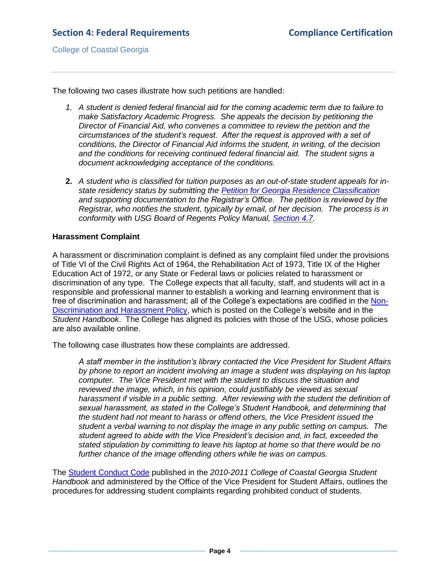College of Coastal Georgia

The following two cases illustrate how such petitions are handled:

- *1. A student is denied federal financial aid for the coming academic term due to failure to make Satisfactory Academic Progress. She appeals the decision by petitioning the Director of Financial Aid, who convenes a committee to review the petition and the circumstances of the student's request. After the request is approved with a set of conditions, the Director of Financial Aid informs the student, in writing, of the decision and the conditions for receiving continued federal financial aid. The student signs a document acknowledging acceptance of the conditions.*
- **2.** *A student who is classified for tuition purposes as an out-of-state student appeals for instate residency status by submitting the [Petition for Georgia Residence Classification](4.5.cResidencyPetition.pdf#page=1) and supporting documentation to the Registrar's Office. The petition is reviewed by the Registrar, who notifies the student, typically by email, of her decision. The process is in conformity with USG Board of Regents Policy Manual, [Section 4.7.](4.5.dUSGBORpolicymanual4.7.pdf#page=1)*

### **Harassment Complaint**

A harassment or discrimination complaint is defined as any complaint filed under the provisions of Title VI of the Civil Rights Act of 1964, the Rehabilitation Act of 1973, Title IX of the Higher Education Act of 1972, or any State or Federal laws or policies related to harassment or discrimination of any type. The College expects that all faculty, staff, and students will act in a responsible and professional manner to establish a working and learning environment that is free of discrimination and harassment; all of the College's expectations are codified in the [Non-](4.5.eNonDiscrimHarassPolicy.pdf#page=1)[Discrimination and Harassment Policy,](4.5.eNonDiscrimHarassPolicy.pdf#page=1) which is posted on the College's website and in the *Student Handbook*. The College has aligned its policies with those of the USG, whose policies are also available [online.](http://www.usg.edu/policymanual/section8/policy/8.2_general_policies_for_all_personnel/)

The following case illustrates how these complaints are addressed.

*A staff member in the institution's library contacted the Vice President for Student Affairs by phone to report an incident involving an image a student was displaying on his laptop computer. The Vice President met with the student to discuss the situation and reviewed the image, which, in his opinion, could justifiably be viewed as sexual harassment if visible in a public setting. After reviewing with the student the definition of sexual harassment, as stated in the College's Student Handbook, and determining that the student had not meant to harass or offend others, the Vice President issued the student a verbal warning to not display the image in any public setting on campus. The student agreed to abide with the Vice President's decision and, in fact, exceeded the stated stipulation by committing to leave his laptop at home so that there would be no further chance of the image offending others while he was on campus.*

The [Student Conduct Code](StudentHandbook.pdf#page=12) published in the *2010-2011 College of Coastal Georgia Student Handbook* and administered by the Office of the Vice President for Student Affairs, outlines the procedures for addressing student complaints regarding prohibited conduct of students.